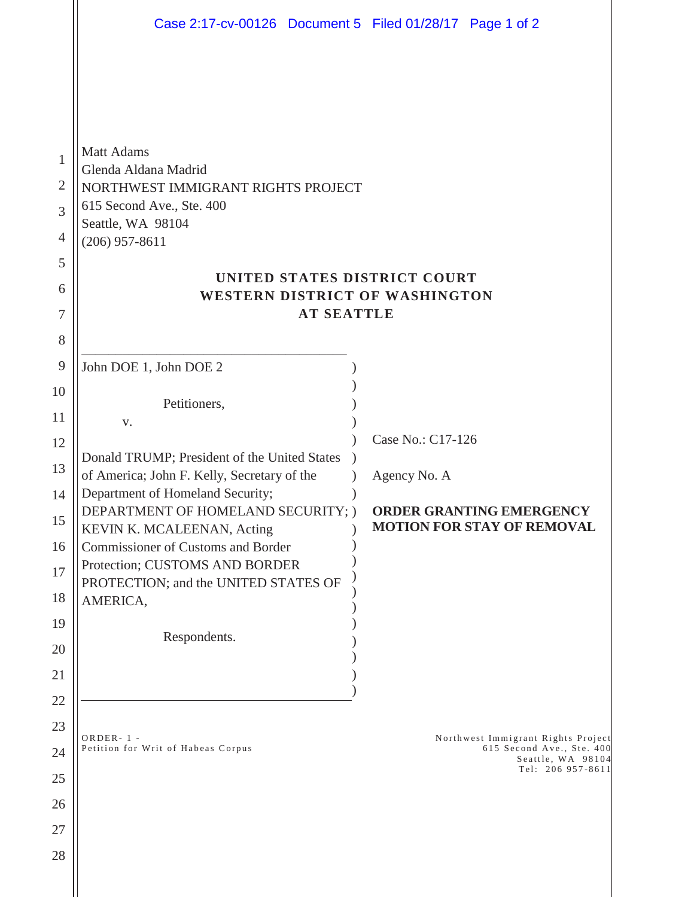|                                                                           | Case 2:17-cv-00126 Document 5 Filed 01/28/17 Page 1 of 2                                                                                                                                                                                                                                                                                                                                               |                                                                                                           |
|---------------------------------------------------------------------------|--------------------------------------------------------------------------------------------------------------------------------------------------------------------------------------------------------------------------------------------------------------------------------------------------------------------------------------------------------------------------------------------------------|-----------------------------------------------------------------------------------------------------------|
| 1<br>2<br>3<br>4<br>5<br>6<br>7                                           | <b>Matt Adams</b><br>Glenda Aldana Madrid<br>NORTHWEST IMMIGRANT RIGHTS PROJECT<br>615 Second Ave., Ste. 400<br>Seattle, WA 98104<br>$(206)$ 957-8611<br>UNITED STATES DISTRICT COURT<br>WESTERN DISTRICT OF WASHINGTON<br><b>AT SEATTLE</b>                                                                                                                                                           |                                                                                                           |
| 8                                                                         |                                                                                                                                                                                                                                                                                                                                                                                                        |                                                                                                           |
| 9<br>10<br>11<br>12<br>13<br>14<br>15<br>16<br>17<br>18<br>19<br>20<br>21 | John DOE 1, John DOE 2<br>Petitioners,<br>V.<br>Donald TRUMP; President of the United States<br>of America; John F. Kelly, Secretary of the<br>Department of Homeland Security;<br>DEPARTMENT OF HOMELAND SECURITY; )<br>KEVIN K. MCALEENAN, Acting<br><b>Commissioner of Customs and Border</b><br>Protection; CUSTOMS AND BORDER<br>PROTECTION; and the UNITED STATES OF<br>AMERICA,<br>Respondents. | Case No.: C17-126<br>Agency No. A<br><b>ORDER GRANTING EMERGENCY</b><br><b>MOTION FOR STAY OF REMOVAL</b> |
| 22<br>23<br>24<br>25<br>26<br>27<br>28                                    | $ORDER-1$ -<br>Petition for Writ of Habeas Corpus                                                                                                                                                                                                                                                                                                                                                      | Northwest Immigrant Rights Project<br>615 Second Ave., Ste. 400<br>Seattle, WA 98104<br>Tel: 206 957-8611 |